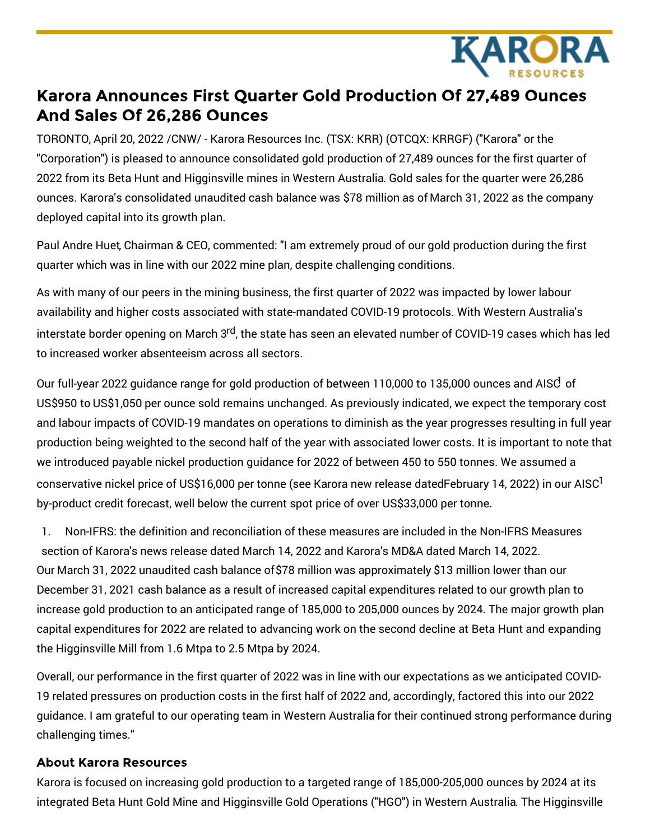

## **Karora Announces First Quarter Gold Production Of 27,489 Ounces And Sales Of 26,286 Ounces**

TORONTO, April 20, 2022 /CNW/ - Karora Resources Inc. (TSX: KRR) (OTCQX: KRRGF) ("Karora" or the "Corporation") is pleased to announce consolidated gold production of 27,489 ounces for the first quarter of 2022 from its Beta Hunt and Higginsville mines in Western Australia. Gold sales for the quarter were 26,286 ounces. Karora's consolidated unaudited cash balance was \$78 million as of March 31, 2022 as the company deployed capital into its growth plan.

Paul Andre Huet, Chairman & CEO, commented: "I am extremely proud of our gold production during the first quarter which was in line with our 2022 mine plan, despite challenging conditions.

As with many of our peers in the mining business, the first quarter of 2022 was impacted by lower labour availability and higher costs associated with state-mandated COVID-19 protocols. With Western Australia's interstate border opening on March 3<sup>rd</sup>, the state has seen an elevated number of COVID-19 cases which has led to increased worker absenteeism across all sectors.

Our full-year 2022 guidance range for gold production of between 110,000 to 135,000 ounces and AIS $\operatorname{\mathsf{C}}$  of US\$950 to US\$1,050 per ounce sold remains unchanged. As previously indicated, we expect the temporary cost and labour impacts of COVID-19 mandates on operations to diminish as the year progresses resulting in full year production being weighted to the second half of the year with associated lower costs. It is important to note that we introduced payable nickel production guidance for 2022 of between 450 to 550 tonnes. We assumed a conservative nickel price of US\$16,000 per tonne (see Karora new release datedFebruary 14, 2022) in our AISC $^{\rm l}$ by-product credit forecast, well below the current spot price of over US\$33,000 per tonne.

1. Non-IFRS: the definition and reconciliation of these measures are included in the Non-IFRS Measures section of Karora's news release dated March 14, 2022 and Karora's MD&A dated March 14, 2022. Our March 31, 2022 unaudited cash balance of\$78 million was approximately \$13 million lower than our December 31, 2021 cash balance as a result of increased capital expenditures related to our growth plan to increase gold production to an anticipated range of 185,000 to 205,000 ounces by 2024. The major growth plan capital expenditures for 2022 are related to advancing work on the second decline at Beta Hunt and expanding the Higginsville Mill from 1.6 Mtpa to 2.5 Mtpa by 2024.

Overall, our performance in the first quarter of 2022 was in line with our expectations as we anticipated COVID-19 related pressures on production costs in the first half of 2022 and, accordingly, factored this into our 2022 guidance. I am grateful to our operating team in Western Australia for their continued strong performance during challenging times."

## **About Karora Resources**

Karora is focused on increasing gold production to a targeted range of 185,000-205,000 ounces by 2024 at its integrated Beta Hunt Gold Mine and Higginsville Gold Operations ("HGO") in Western Australia. The Higginsville